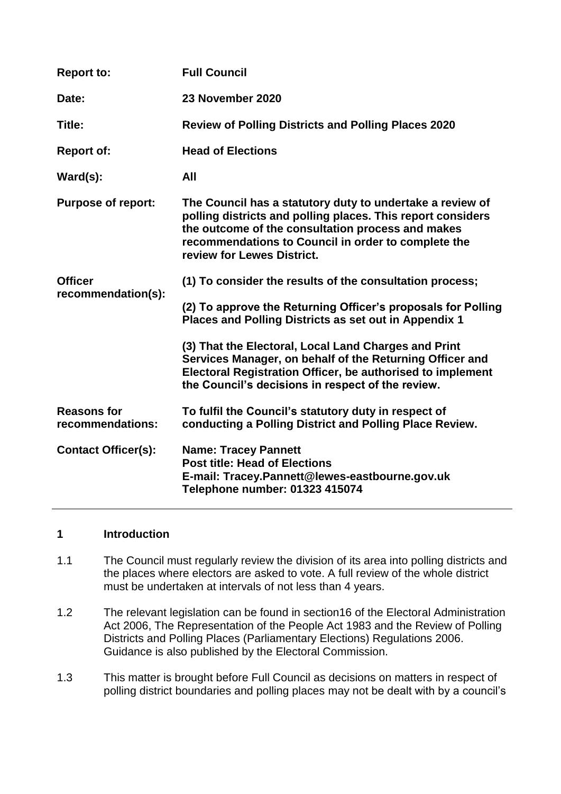| <b>Report to:</b>                      | <b>Full Council</b>                                                                                                                                                                                                                                                |
|----------------------------------------|--------------------------------------------------------------------------------------------------------------------------------------------------------------------------------------------------------------------------------------------------------------------|
| Date:                                  | 23 November 2020                                                                                                                                                                                                                                                   |
| Title:                                 | <b>Review of Polling Districts and Polling Places 2020</b>                                                                                                                                                                                                         |
| <b>Report of:</b>                      | <b>Head of Elections</b>                                                                                                                                                                                                                                           |
| $\textsf{Ward}(s)$ :                   | All                                                                                                                                                                                                                                                                |
| <b>Purpose of report:</b>              | The Council has a statutory duty to undertake a review of<br>polling districts and polling places. This report considers<br>the outcome of the consultation process and makes<br>recommendations to Council in order to complete the<br>review for Lewes District. |
| <b>Officer</b><br>recommendation(s):   | (1) To consider the results of the consultation process;                                                                                                                                                                                                           |
|                                        | (2) To approve the Returning Officer's proposals for Polling<br>Places and Polling Districts as set out in Appendix 1                                                                                                                                              |
|                                        | (3) That the Electoral, Local Land Charges and Print<br>Services Manager, on behalf of the Returning Officer and<br>Electoral Registration Officer, be authorised to implement<br>the Council's decisions in respect of the review.                                |
| <b>Reasons for</b><br>recommendations: | To fulfil the Council's statutory duty in respect of<br>conducting a Polling District and Polling Place Review.                                                                                                                                                    |
| <b>Contact Officer(s):</b>             | <b>Name: Tracey Pannett</b><br><b>Post title: Head of Elections</b><br>E-mail: Tracey.Pannett@lewes-eastbourne.gov.uk<br>Telephone number: 01323 415074                                                                                                            |

## **1 Introduction**

- 1.1 The Council must regularly review the division of its area into polling districts and the places where electors are asked to vote. A full review of the whole district must be undertaken at intervals of not less than 4 years.
- 1.2 The relevant legislation can be found in section16 of the Electoral Administration Act 2006, The Representation of the People Act 1983 and the Review of Polling Districts and Polling Places (Parliamentary Elections) Regulations 2006. Guidance is also published by the Electoral Commission.
- 1.3 This matter is brought before Full Council as decisions on matters in respect of polling district boundaries and polling places may not be dealt with by a council's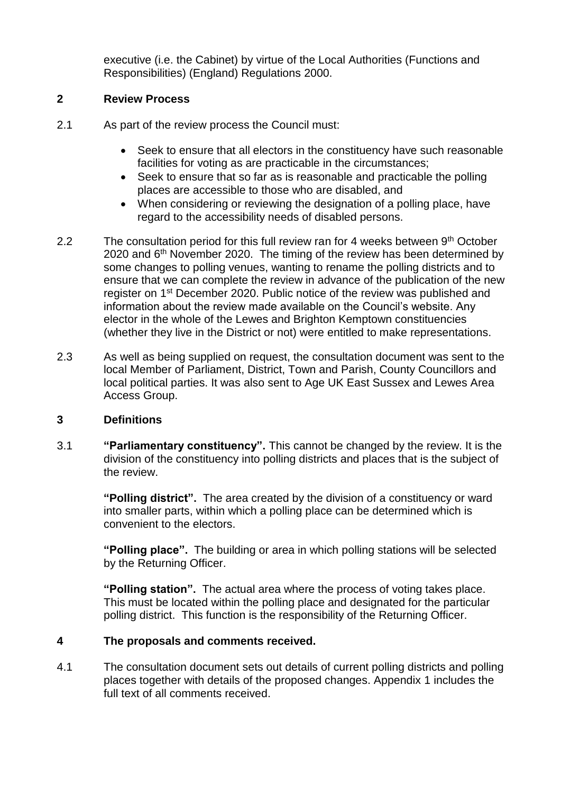executive (i.e. the Cabinet) by virtue of the Local Authorities (Functions and Responsibilities) (England) Regulations 2000.

## **2 Review Process**

- 2.1 As part of the review process the Council must:
	- Seek to ensure that all electors in the constituency have such reasonable facilities for voting as are practicable in the circumstances;
	- Seek to ensure that so far as is reasonable and practicable the polling places are accessible to those who are disabled, and
	- When considering or reviewing the designation of a polling place, have regard to the accessibility needs of disabled persons.
- 2.2 The consultation period for this full review ran for 4 weeks between 9<sup>th</sup> October 2020 and 6<sup>th</sup> November 2020. The timing of the review has been determined by some changes to polling venues, wanting to rename the polling districts and to ensure that we can complete the review in advance of the publication of the new register on 1st December 2020. Public notice of the review was published and information about the review made available on the Council's website. Any elector in the whole of the Lewes and Brighton Kemptown constituencies (whether they live in the District or not) were entitled to make representations.
- 2.3 As well as being supplied on request, the consultation document was sent to the local Member of Parliament, District, Town and Parish, County Councillors and local political parties. It was also sent to Age UK East Sussex and Lewes Area Access Group.

### **3 Definitions**

3.1 **"Parliamentary constituency".** This cannot be changed by the review. It is the division of the constituency into polling districts and places that is the subject of the review.

> **"Polling district".** The area created by the division of a constituency or ward into smaller parts, within which a polling place can be determined which is convenient to the electors.

> **"Polling place".** The building or area in which polling stations will be selected by the Returning Officer.

**"Polling station".** The actual area where the process of voting takes place. This must be located within the polling place and designated for the particular polling district. This function is the responsibility of the Returning Officer.

# **4 The proposals and comments received.**

4.1 The consultation document sets out details of current polling districts and polling places together with details of the proposed changes. Appendix 1 includes the full text of all comments received.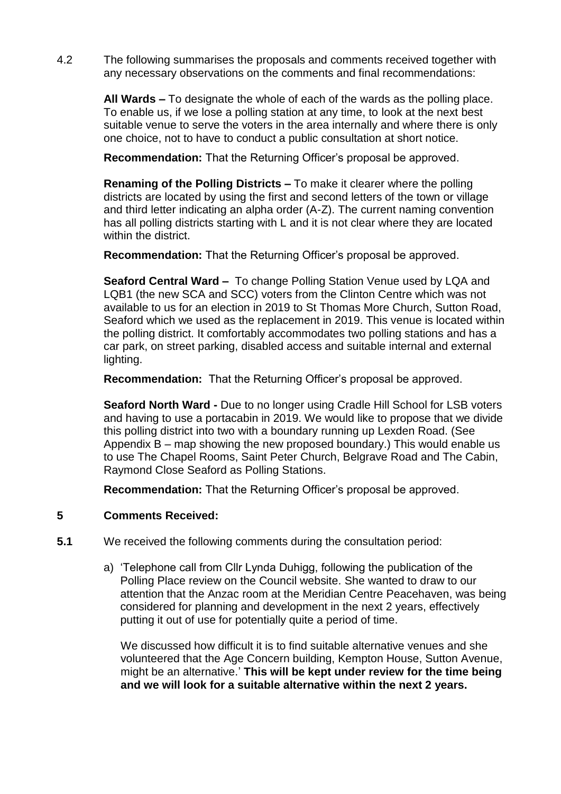4.2 The following summarises the proposals and comments received together with any necessary observations on the comments and final recommendations:

> **All Wards –** To designate the whole of each of the wards as the polling place. To enable us, if we lose a polling station at any time, to look at the next best suitable venue to serve the voters in the area internally and where there is only one choice, not to have to conduct a public consultation at short notice.

**Recommendation:** That the Returning Officer's proposal be approved.

**Renaming of the Polling Districts –** To make it clearer where the polling districts are located by using the first and second letters of the town or village and third letter indicating an alpha order (A-Z). The current naming convention has all polling districts starting with L and it is not clear where they are located within the district.

**Recommendation:** That the Returning Officer's proposal be approved.

**Seaford Central Ward –** To change Polling Station Venue used by LQA and LQB1 (the new SCA and SCC) voters from the Clinton Centre which was not available to us for an election in 2019 to St Thomas More Church, Sutton Road, Seaford which we used as the replacement in 2019. This venue is located within the polling district. It comfortably accommodates two polling stations and has a car park, on street parking, disabled access and suitable internal and external lighting.

**Recommendation:** That the Returning Officer's proposal be approved.

**Seaford North Ward -** Due to no longer using Cradle Hill School for LSB voters and having to use a portacabin in 2019. We would like to propose that we divide this polling district into two with a boundary running up Lexden Road. (See Appendix B – map showing the new proposed boundary.) This would enable us to use The Chapel Rooms, Saint Peter Church, Belgrave Road and The Cabin, Raymond Close Seaford as Polling Stations.

**Recommendation:** That the Returning Officer's proposal be approved.

### **5 Comments Received:**

**5.1** We received the following comments during the consultation period:

a) 'Telephone call from Cllr Lynda Duhigg, following the publication of the Polling Place review on the Council website. She wanted to draw to our attention that the Anzac room at the Meridian Centre Peacehaven, was being considered for planning and development in the next 2 years, effectively putting it out of use for potentially quite a period of time.

We discussed how difficult it is to find suitable alternative venues and she volunteered that the Age Concern building, Kempton House, Sutton Avenue, might be an alternative.' **This will be kept under review for the time being and we will look for a suitable alternative within the next 2 years.**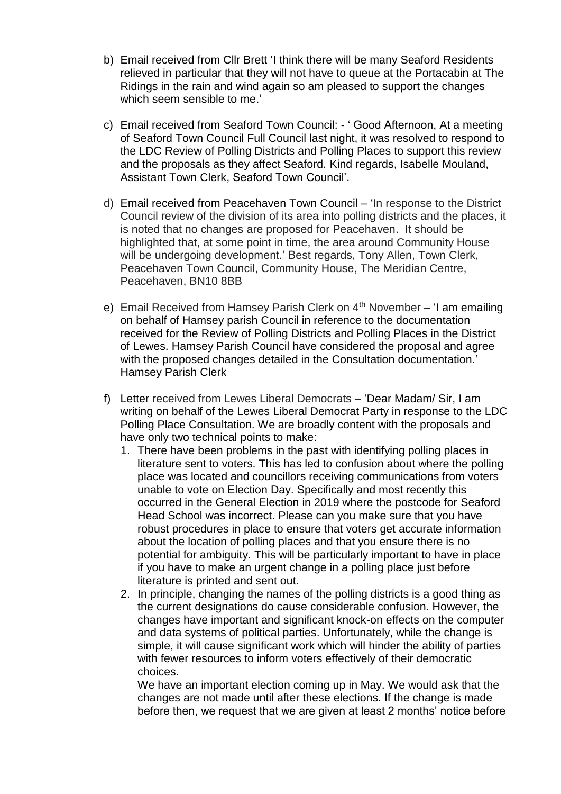- b) Email received from Cllr Brett 'I think there will be many Seaford Residents relieved in particular that they will not have to queue at the Portacabin at The Ridings in the rain and wind again so am pleased to support the changes which seem sensible to me.'
- c) Email received from Seaford Town Council: ' Good Afternoon, At a meeting of Seaford Town Council Full Council last night, it was resolved to respond to the LDC Review of Polling Districts and Polling Places to support this review and the proposals as they affect Seaford. Kind regards, Isabelle Mouland, Assistant Town Clerk, Seaford Town Council'.
- d) Email received from Peacehaven Town Council 'In response to the District Council review of the division of its area into polling districts and the places, it is noted that no changes are proposed for Peacehaven. It should be highlighted that, at some point in time, the area around Community House will be undergoing development.' Best regards, Tony Allen, Town Clerk, Peacehaven Town Council, Community House, The Meridian Centre, Peacehaven, BN10 8BB
- e) Email Received from Hamsey Parish Clerk on 4<sup>th</sup> November 'I am emailing on behalf of Hamsey parish Council in reference to the documentation received for the Review of Polling Districts and Polling Places in the District of Lewes. Hamsey Parish Council have considered the proposal and agree with the proposed changes detailed in the Consultation documentation.' Hamsey Parish Clerk
- f) Letter received from Lewes Liberal Democrats 'Dear Madam/ Sir, I am writing on behalf of the Lewes Liberal Democrat Party in response to the LDC Polling Place Consultation. We are broadly content with the proposals and have only two technical points to make:
	- 1. There have been problems in the past with identifying polling places in literature sent to voters. This has led to confusion about where the polling place was located and councillors receiving communications from voters unable to vote on Election Day. Specifically and most recently this occurred in the General Election in 2019 where the postcode for Seaford Head School was incorrect. Please can you make sure that you have robust procedures in place to ensure that voters get accurate information about the location of polling places and that you ensure there is no potential for ambiguity. This will be particularly important to have in place if you have to make an urgent change in a polling place just before literature is printed and sent out.
	- 2. In principle, changing the names of the polling districts is a good thing as the current designations do cause considerable confusion. However, the changes have important and significant knock-on effects on the computer and data systems of political parties. Unfortunately, while the change is simple, it will cause significant work which will hinder the ability of parties with fewer resources to inform voters effectively of their democratic choices.

We have an important election coming up in May. We would ask that the changes are not made until after these elections. If the change is made before then, we request that we are given at least 2 months' notice before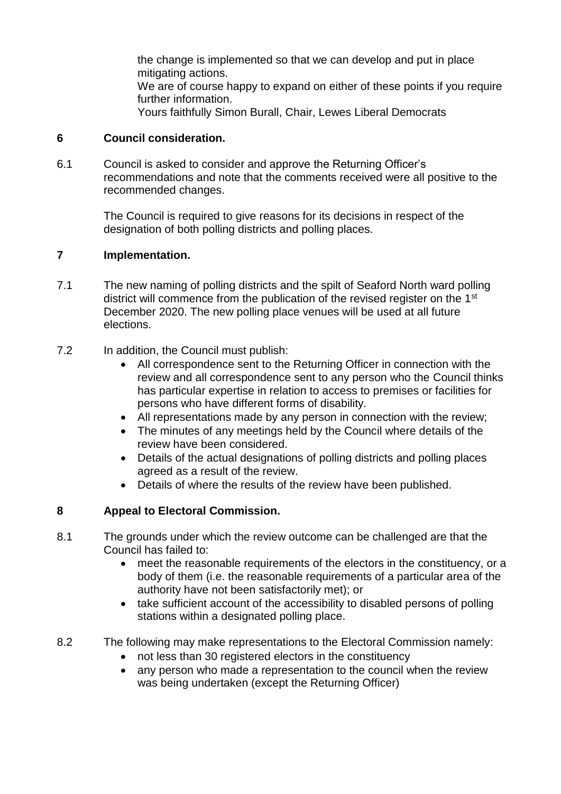the change is implemented so that we can develop and put in place mitigating actions. We are of course happy to expand on either of these points if you require further information. Yours faithfully Simon Burall, Chair, Lewes Liberal Democrats

#### **6 Council consideration.**

6.1 Council is asked to consider and approve the Returning Officer's recommendations and note that the comments received were all positive to the recommended changes.

> The Council is required to give reasons for its decisions in respect of the designation of both polling districts and polling places.

#### **7 Implementation.**

- 7.1 The new naming of polling districts and the spilt of Seaford North ward polling district will commence from the publication of the revised register on the 1<sup>st</sup> December 2020. The new polling place venues will be used at all future elections.
- 7.2 In addition, the Council must publish:
	- All correspondence sent to the Returning Officer in connection with the review and all correspondence sent to any person who the Council thinks has particular expertise in relation to access to premises or facilities for persons who have different forms of disability.
	- All representations made by any person in connection with the review;
	- The minutes of any meetings held by the Council where details of the review have been considered.
	- Details of the actual designations of polling districts and polling places agreed as a result of the review.
	- Details of where the results of the review have been published.

### **8 Appeal to Electoral Commission.**

- 8.1 The grounds under which the review outcome can be challenged are that the Council has failed to:
	- meet the reasonable requirements of the electors in the constituency, or a body of them (i.e. the reasonable requirements of a particular area of the authority have not been satisfactorily met); or
	- take sufficient account of the accessibility to disabled persons of polling stations within a designated polling place.
- 8.2 The following may make representations to the Electoral Commission namely:
	- not less than 30 registered electors in the constituency
	- any person who made a representation to the council when the review was being undertaken (except the Returning Officer)